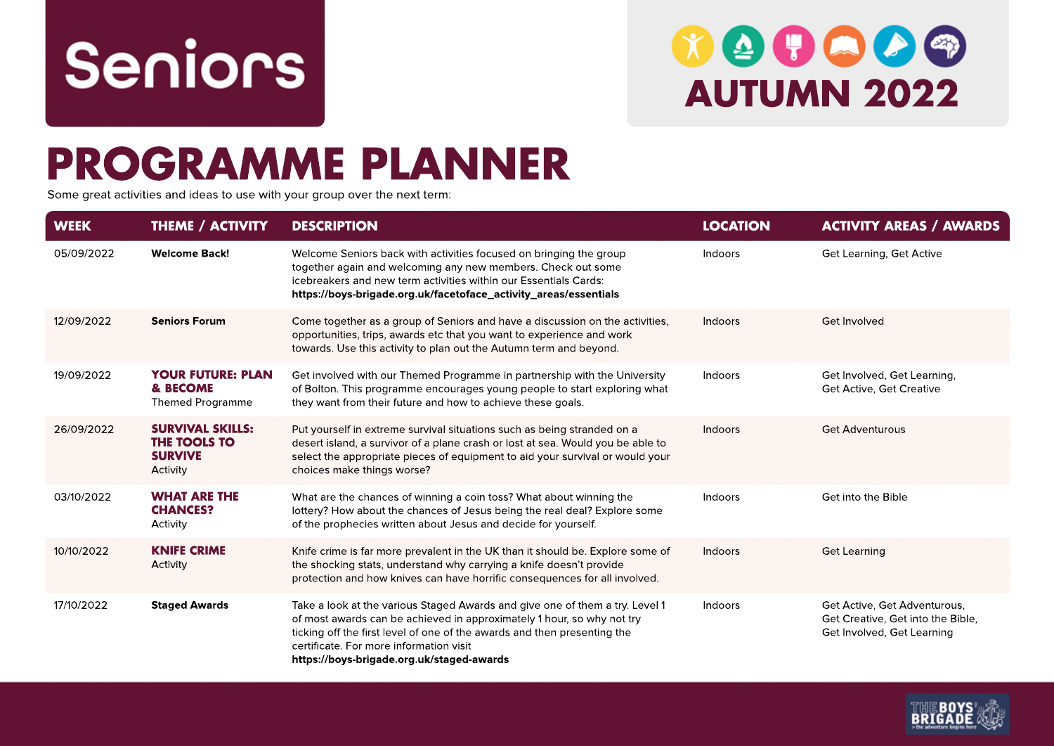

## $90000$ **AUTUMN 2022**

## **PROGRAMME PLANNER**

Some great activities and ideas to use with your group over the next term:

| <b>WEEK</b> | <b>THEME / ACTIVITY</b>                                                      | <b>DESCRIPTION</b>                                                                                                                                                                                                                                                                                                         | <b>LOCATION</b> | <b>ACTIVITY AREAS / AWARDS</b>                                                                  |
|-------------|------------------------------------------------------------------------------|----------------------------------------------------------------------------------------------------------------------------------------------------------------------------------------------------------------------------------------------------------------------------------------------------------------------------|-----------------|-------------------------------------------------------------------------------------------------|
| 05/09/2022  | <b>Welcome Back!</b>                                                         | Welcome Seniors back with activities focused on bringing the group<br>together again and welcoming any new members. Check out some<br>icebreakers and new term activities within our Essentials Cards:<br>https://boys-brigade.org.uk/facetoface_activity_areas/essentials                                                 | Indoors         | Get Learning, Get Active                                                                        |
| 12/09/2022  | <b>Seniors Forum</b>                                                         | Come together as a group of Seniors and have a discussion on the activities,<br>opportunities, trips, awards etc that you want to experience and work<br>towards. Use this activity to plan out the Autumn term and beyond.                                                                                                | Indoors         | Get Involved                                                                                    |
| 19/09/2022  | <b>YOUR FUTURE: PLAN</b><br>& BECOME<br><b>Themed Programme</b>              | Get involved with our Themed Programme in partnership with the University<br>of Bolton. This programme encourages young people to start exploring what<br>they want from their future and how to achieve these goals.                                                                                                      | Indoors         | Get Involved, Get Learning,<br><b>Get Active, Get Creative</b>                                  |
| 26/09/2022  | <b>SURVIVAL SKILLS:</b><br><b>THE TOOLS TO</b><br><b>SURVIVE</b><br>Activity | Put yourself in extreme survival situations such as being stranded on a<br>desert island, a survivor of a plane crash or lost at sea. Would you be able to<br>select the appropriate pieces of equipment to aid your survival or would your<br>choices make things worse?                                                  | Indoors         | <b>Get Adventurous</b>                                                                          |
| 03/10/2022  | <b>WHAT ARE THE</b><br><b>CHANCES?</b><br>Activity                           | What are the chances of winning a coin toss? What about winning the<br>lottery? How about the chances of Jesus being the real deal? Explore some<br>of the prophecies written about Jesus and decide for yourself.                                                                                                         | Indoors         | Get into the Bible                                                                              |
| 10/10/2022  | <b>KNIFE CRIME</b><br>Activity                                               | Knife crime is far more prevalent in the UK than it should be. Explore some of<br>the shocking stats, understand why carrying a knife doesn't provide<br>protection and how knives can have horrific consequences for all involved.                                                                                        | Indoors         | <b>Get Learning</b>                                                                             |
| 17/10/2022  | <b>Staged Awards</b>                                                         | Take a look at the various Staged Awards and give one of them a try. Level 1<br>of most awards can be achieved in approximately 1 hour, so why not try<br>ticking off the first level of one of the awards and then presenting the<br>certificate. For more information visit<br>https://boys-brigade.org.uk/staged-awards | Indoors         | Get Active, Get Adventurous,<br>Get Creative, Get into the Bible,<br>Get Involved, Get Learning |